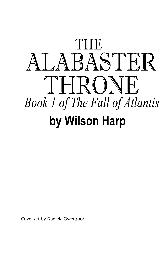

Cover art by Daniela Owergoor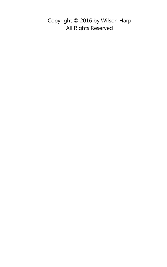Copyright © 2016 by Wilson Harp All Rights Reserved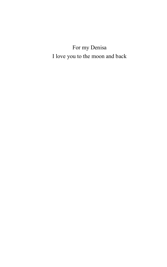For my Denisa I love you to the moon and back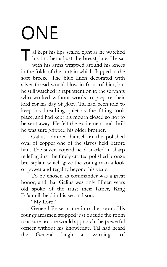#### ONE

al kept his lips sealed tight as he watched al kept his lips sealed tight as he watched<br>his brother adjust the breastplate. He sat with his arms wrapped around his knees in the folds of the curtain which flapped in the soft breeze. The blue linen decorated with silver thread would blow in front of him, but he still watched in rapt attention to the servants who worked without words to prepare their lord for his day of glory. Tal had been told to keep his breathing quiet as the fitting took place, and had kept his mouth closed so not to be sent away. He felt the excitement and thrill he was sure gripped his older brother.

Galius admired himself in the polished oval of copper one of the slaves held before him. The silver leopard head snarled in sharp relief against the finely crafted polished bronze breastplate which gave the young man a look of power and regality beyond his years.

To be chosen as commander was a great honor, and that Galius was only fifteen years old spoke of the trust their father, King Fa'amuil, held in his second son.

"My Lord."

General Praset came into the room. His four guardsmen stopped just outside the room to assure no one would approach the powerful officer without his knowledge. Tal had heard the General laugh at warnings of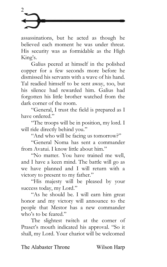

assassinations, but he acted as though he believed each moment he was under threat. His security was as formidable as the High King's.

Galius peered at himself in the polished copper for a few seconds more before he dismissed his servants with a wave of his hand. Tal readied himself to be sent away, too, but his silence had rewarded him. Galius had forgotten his little brother watched from the dark corner of the room.

"General, I trust the field is prepared as I have ordered."

"The troops will be in position, my lord. I will ride directly behind you."

"And who will be facing us tomorrow?"

"General Noma has sent a commander from Avatui. I know little about him."

"No matter. You have trained me well, and I have a keen mind. The battle will go as we have planned and I will return with a victory to present to my father."

"His majesty will be pleased by your success today, my Lord."

"As he should be. I will earn him great honor and my victory will announce to the people that Mestor has a new commander who's to be feared."

The slightest twitch at the corner of Praset's mouth indicated his approval. "So it shall, my Lord. Your chariot will be welcomed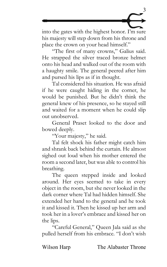

into the gates with the highest honor. I'm sure his majesty will step down from his throne and place the crown on your head himself."

"The first of many crowns," Galius said. He strapped the silver traced bronze helmet onto his head and walked out of the room with a haughty smile. The general peered after him and pursed his lips as if in thought.

Tal considered his situation. He was afraid if he were caught hiding in the corner, he would be punished. But he didn't think the general knew of his presence, so he stayed still and waited for a moment when he could slip out unobserved.

General Praset looked to the door and bowed deeply.

"Your majesty," he said.

Tal felt shock his father might catch him and shrank back behind the curtain. He almost sighed out loud when his mother entered the room a second later, but was able to control his breathing.

The queen stepped inside and looked around. Her eyes seemed to take in every object in the room, but she never looked in the dark corner where Tal had hidden himself. She extended her hand to the general and he took it and kissed it. Then he kissed up her arm and took her in a lover's embrace and kissed her on the lips.

"Careful General," Queen Jala said as she pulled herself from his embrace. "I don't wish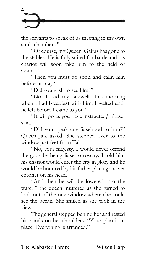

the servants to speak of us meeting in my own son's chambers."

"Of course, my Queen. Galius has gone to the stables. He is fully suited for battle and his chariot will soon take him to the field of Comril."

"Then you must go soon and calm him before his day."

"Did you wish to see him?"

"No. I said my farewells this morning when I had breakfast with him. I waited until he left before I came to you."

"It will go as you have instructed," Praset said.

"Did you speak any falsehood to him?" Queen Jala asked. She stepped over to the window just feet from Tal.

"No, your majesty. I would never offend the gods by being false to royalty. I told him his chariot would enter the city in glory and he would be honored by his father placing a silver coronet on his head."

"And then he will be lowered into the water," the queen muttered as she turned to look out of the one window where she could see the ocean. She smiled as she took in the view.

The general stepped behind her and rested his hands on her shoulders. "Your plan is in place. Everything is arranged."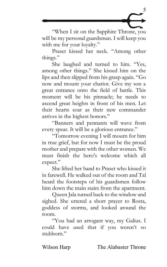

"When I sit on the Sapphire Throne, you will be my personal guardsman. I will keep you with me for your loyalty."

Praset kissed her neck. "Among other things."

She laughed and turned to him. "Yes, among other things." She kissed him on the lips and then slipped from his grasp again. "Go now and mount your chariot. Give my son a great entrance onto the field of battle. This moment will be his pinnacle; he needs to ascend great heights in front of his men. Let their hearts soar as their new commander arrives in the highest honors."

"Banners and pennants will wave from every spear. It will be a glorious entrance."

"Tomorrow evening I will mourn for him in true grief, but for now I must be the proud mother and prepare with the other women. We must finish the hero's welcome which all expect."

She lifted her hand to Praset who kissed it in farewell. He walked out of the room and Tal heard the footsteps of his guardsmen follow him down the main stairs from the apartment.

Queen Jala turned back to the window and sighed. She uttered a short prayer to Rosta, goddess of storms, and looked around the room.

"You had an arrogant way, my Galius. I could have used that if you weren't so stubborn."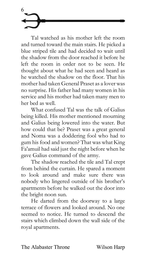Tal watched as his mother left the room and turned toward the main stairs. He picked a blue striped tile and had decided to wait until the shadow from the door reached it before he left the room in order not to be seen. He thought about what he had seen and heard as he watched the shadow on the floor. That his mother had taken General Praset as a lover was no surprise. His father had many women in his service and his mother had taken many men to her bed as well.

6

What confused Tal was the talk of Galius being killed. His mother mentioned mourning and Galius being lowered into the water. But how could that be? Praset was a great general and Noma was a doddering fool who had to gum his food and women? That was what King Fa'amuil had said just the night before when he gave Galius command of the army.

The shadow reached the tile and Tal crept from behind the curtain. He spared a moment to look around and make sure there was nobody who lingered outside of his brother's apartments before he walked out the door into the bright noon sun.

He darted from the doorway to a large terrace of flowers and looked around. No one seemed to notice. He turned to descend the stairs which climbed down the wall side of the royal apartments.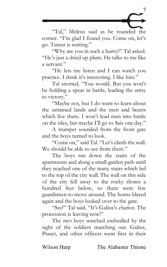

"Tal," Meleus said as he rounded the corner. "I'm glad I found you. Come on, let's go. Tumat is waiting."

"Why are you in such a hurry?" Tal asked. "He's just a dried up plum. He talks to me like a servant."

"He lets me listen and I can watch you practice. I think it's interesting. I like him."

Tal snorted. "You would. But you won't be holding a spear in battle, leading the army to victory."

"Maybe not, but I do want to learn about the untamed lands and the men and beasts which live there. I won't lead men into battle on the isles, but maybe I'll go to Sais one day."

A trumpet sounded from the front gate and the boys turned to look.

"Come on," said Tal. "Let's climb the wall. We should be able to see from there."

The boys ran down the stairs of the apartments and along a small garden path until they reached one of the many stairs which led to the top of the city wall. The wall on this side of the city fell away to the rocky shores a hundred feet below, so there were few guardsmen to move around. The horns blared again and the boys looked over to the gate.

"See!" Tal said. "It's Galius's chariot. The procession is leaving now!"

The two boys watched enthralled by the sight of the soldiers marching out. Galius, Praset, and other officers went first in their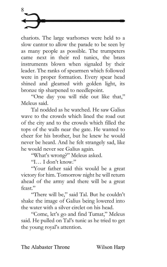

chariots. The large warhorses were held to a slow cantor to allow the parade to be seen by as many people as possible. The trumpeters came next in their red tunics, the brass instruments blown when signaled by their leader. The ranks of spearmen which followed were in proper formation. Every spear head shined and gleamed with golden light, its bronze tip sharpened to needlepoint.

"One day you will ride out like that," Meleus said.

Tal nodded as he watched. He saw Galius wave to the crowds which lined the road out of the city and to the crowds which filled the tops of the walls near the gate. He wanted to cheer for his brother, but he knew he would never be heard. And he felt strangely sad, like he would never see Galius again.

"What's wrong?" Meleus asked.

"I… I don't know."

"Your father said this would be a great victory for him. Tomorrow night he will return ahead of the army and there will be a great feast."

"There will be," said Tal. But he couldn't shake the image of Galius being lowered into the water with a silver circlet on his head.

"Come, let's go and find Tumat," Meleus said. He pulled on Tal's tunic as he tried to get the young royal's attention.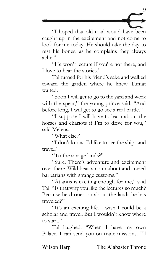

"I hoped that old toad would have been caught up in the excitement and not come to look for me today. He should take the day to rest his bones, as he complains they always ache."

"He won't lecture if you're not there, and I love to hear the stories."

Tal turned for his friend's sake and walked toward the garden where he knew Tumat waited.

"Soon I will get to go to the yard and work with the spear," the young prince said. "And before long, I will get to go see a real battle."

"I suppose I will have to learn about the horses and chariots if I'm to drive for you," said Meleus.

"What else?"

"I don't know. I'd like to see the ships and travel."

"To the savage lands?"

"Sure. There's adventure and excitement over there. Wild beasts roam about and crazed barbarians with strange customs."

"Atlantis is exciting enough for me," said Tal. "Is that why you like the lectures so much? Because he drones on about the lands he has traveled?"

"It's an exciting life. I wish I could be a scholar and travel. But I wouldn't know where to start."

Tal laughed. "When I have my own Palace, I can send you on trade missions. I'll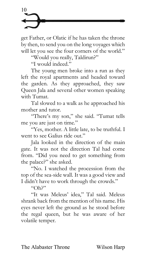get Father, or Olatic if he has taken the throne by then, to send you on the long voyages which will let you see the four corners of the world."

"Would you really, Taldirun?"

"I would indeed."

The young men broke into a run as they left the royal apartments and headed toward the garden. As they approached, they saw Queen Jala and several other women speaking with Tumat.

Tal slowed to a walk as he approached his mother and tutor.

"There's my son," she said. "Tumat tells me you are just on time."

"Yes, mother. A little late, to be truthful. I went to see Galius ride out."

Jala looked in the direction of the main gate. It was not the direction Tal had come from. "Did you need to get something from the palace?" she asked.

"No. I watched the procession from the top of the sea-side wall. It was a good view and I didn't have to work through the crowds."

 $"Oh?"$ 

"It was Meleus' idea," Tal said. Meleus shrank back from the mention of his name. His eyes never left the ground as he stood before the regal queen, but he was aware of her volatile temper.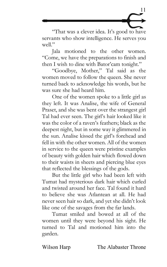

"That was a clever idea. It's good to have servants who show intelligence. He serves you  $w$ ell"

Jala motioned to the other women. "Come, we have the preparations to finish and then I wish to dine with Bator'cam tonight."

"Goodbye, Mother," Tal said as the women moved to follow the queen. She never turned back to acknowledge his words, but he was sure she had heard him.

One of the women spoke to a little girl as they left. It was Analise, the wife of General Praset, and she was bent over the strangest girl Tal had ever seen. The girl's hair looked like it was the color of a raven's feathers; black as the deepest night, but in some way it glimmered in the sun. Analise kissed the girl's forehead and fell in with the other women. All of the women in service to the queen were pristine examples of beauty with golden hair which flowed down to their waists in sheets and piercing blue eyes that reflected the blessings of the gods.

But the little girl who had been left with Tumat had mysterious dark hair which curled and twisted around her face. Tal found it hard to believe she was Atlantean at all. He had never seen hair so dark, and yet she didn't look like one of the savages from the far lands.

Tumat smiled and bowed at all of the women until they were beyond his sight. He turned to Tal and motioned him into the garden.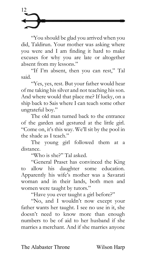"You should be glad you arrived when you did, Taldirun. Your mother was asking where you were and I am finding it hard to make excuses for why you are late or altogether absent from my lessons."

"If I'm absent, then you can rest," Tal said.

"Yes, yes, rest. But your father would hear of me taking his silver and not teaching his son. And where would that place me? If lucky, on a ship back to Sais where I can teach some other ungrateful boy."

The old man turned back to the entrance of the garden and gestured at the little girl. "Come on, it's this way. We'll sit by the pool in the shade as I teach."

The young girl followed them at a distance.

"Who is she?" Tal asked.

"General Praset has convinced the King to allow his daughter some education. Apparently his wife's mother was a Savarati woman and in their lands, both men and women were taught by tutors."

"Have you ever taught a girl before?"

"No, and I wouldn't now except your father wants her taught. I see no use in it, she doesn't need to know more than enough numbers to be of aid to her husband if she marries a merchant. And if she marries anyone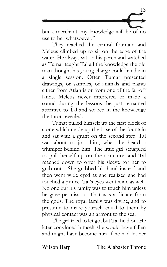

but a merchant, my knowledge will be of no use to her whatsoever."

They reached the central fountain and Meleus climbed up to sit on the edge of the water. He always sat on his perch and watched as Tumat taught Tal all the knowledge the old man thought his young charge could handle in a single session. Often Tumat presented drawings, or samples, of animals and plants either from Atlantis or from one of the far-off lands. Meleus never interfered or made a sound during the lessons, he just remained attentive to Tal and soaked in the knowledge the tutor revealed.

Tumat pulled himself up the first block of stone which made up the base of the fountain and sat with a grunt on the second step. Tal was about to join him, when he heard a whimper behind him. The little girl struggled to pull herself up on the structure, and Tal reached down to offer his sleeve for her to grab onto. She grabbed his hand instead and then went wide eyed as she realized she had touched a prince. Tal's eyes went wide as well. No one but his family was to touch him unless he gave permission. That was a dictate from the gods. The royal family was divine, and to presume to make yourself equal to them by physical contact was an affront to the sea.

The girl tried to let go, but Tal held on. He later convinced himself she would have fallen and might have become hurt if he had let her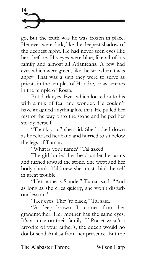go, but the truth was he was frozen in place. Her eyes were dark, like the deepest shadow of the deepest night. He had never seen eyes like hers before. His eyes were blue, like all of his family and almost all Atlanteans. A few had eyes which were green, like the sea when it was angry. That was a sign they were to serve as priests in the temples of Hondre, or as serenes in the temple of Rosta.

But dark eyes. Eyes which locked onto his with a mix of fear and wonder. He couldn't have imagined anything like that. He pulled her rest of the way onto the stone and helped her steady herself.

"Thank you," she said. She looked down as he released her hand and hurried to sit below the legs of Tumat.

"What is your name?" Tal asked.

The girl buried her head under her arms and turned toward the stone. She wept and her body shook. Tal knew she must think herself in great trouble.

"Her name is Siande," Tumat said. "And as long as she cries quietly, she won't disturb our lesson."

"Her eyes. They're black," Tal said.

"A deep brown. It comes from her grandmother. Her mother has the same eyes. It's a curse on their family. If Praset wasn't a favorite of your father's, the queen would no doubt send Anilisa from her presence. But the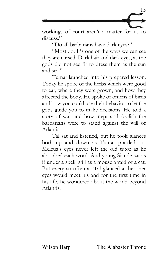

workings of court aren't a matter for us to discuss."

"Do all barbarians have dark eyes?"

"Most do. It's one of the ways we can see they are cursed. Dark hair and dark eyes, as the gods did not see fit to dress them as the sun and sea."

Tumat launched into his prepared lesson. Today he spoke of the herbs which were good to eat, where they were grown, and how they affected the body. He spoke of omens of birds and how you could use their behavior to let the gods guide you to make decisions. He told a story of war and how inept and foolish the barbarians were to stand against the will of Atlantis.

Tal sat and listened, but he took glances both up and down as Tumat prattled on. Meleus's eyes never left the old tutor as he absorbed each word. And young Siande sat as if under a spell, still as a mouse afraid of a cat. But every so often as Tal glanced at her, her eyes would meet his and for the first time in his life, he wondered about the world beyond Atlantis.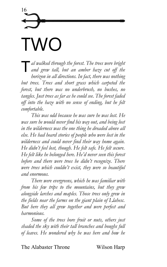## 16 TWO

*al walked through the forest. The trees were bright and grew tall, but an amber haze cut off the*  T *horizon in all directions. In fact, there was nothing but trees. Trees and short grass which carpeted the forest, but there was no underbrush, no bushes, no tangles. Just trees as far as he could see. The forest faded off into the haze with no sense of ending, but he felt comfortable.* 

*This was odd because he was sure he was lost. He was sure he would never find his way out, and being lost in the wilderness was the one thing he dreaded above all else. He had heard stories of people who were lost in the wilderness and could never find their way home again. He didn't feel lost, though. He felt safe. He felt secure. He felt like he belonged here. He'd never seen this forest before and there were trees he didn't recognize. There were trees which couldn't exist, they were so beautiful and enormous.* 

*There were evergreens, which he was familiar with from his few trips to the mountains, but they grew alongside larches and maples. Those trees only grew in the fields near the farms on the giant plain of Llahesc. But here they all grew together and were perfect and harmonious.* 

*Some of the trees bore fruit or nuts, others just shaded the sky with their tall branches and boughs full of leaves. He wondered why he was here and how he*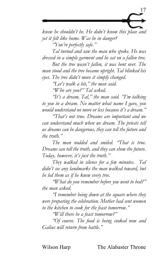

*knew he shouldn't be. He didn't know this place and yet it felt like home. Was he in danger? "You're perfectly safe."*

*Tal turned and saw the man who spoke. He was dressed in a simple garment and he sat on a fallen tree.* 

*But the tree wasn't fallen, it was bent over. The man stood and the tree became upright. Tal blinked his eyes. The tree didn't move it simply changed.* 

*"Let's walk a bit," the man said.*

*"Who are you?" Tal asked.*

*"It's a dream, Tal," the man said. "I'm talking to you in a dream. No matter what name I gave, you would understand no more or less because it's a dream."*

*"That's not true. Dreams are important and we can understand much when we dream. The priests tell us dreams can be dangerous, they can tell the future and the truth."*

*The man nodded and smiled. "That is true. Dreams can tell the truth, and they can show the future. Today, however, it's just the truth."*

*They walked in silence for a few minutes. Tal didn't see any landmarks the man walked toward, but he led them as if he knew every tree.* 

*"What do you remember before you went to bed?" the man asked.* 

*"I remember being down at the square where they were preparing the celebration. Mother had sent women to the kitchen to cook for the feast tomorrow."*

*"Will there be a feast tomorrow?"*

*"Of course. The food is being cooked now and Galius will return from battle."*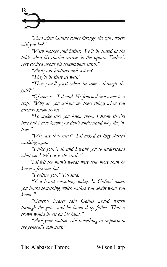*"And when Galius comes through the gate, where will you be?"*

*"With mother and father. We'll be seated at the table when his chariot arrives in the square. Father's very excited about his triumphant entry."*

*"And your brothers and sisters?"*

*"They'll be there as well."*

*"Then you'll feast when he comes through the gate?"*

*"Of course," Tal said. He frowned and came to a stop. "Why are you asking me these things when you already know them?"*

*"To make sure you know them. I know they're true but I also know you don't understand why they're true."*

*"Why are they true?" Tal asked as they started walking again.* 

*"I like you, Tal, and I want you to understand whatever I tell you is the truth."*

*Tal felt the man's words were true more than he knew a fire was hot.* 

*"I believe you," Tal said.*

*"You heard something today. In Galius' room, you heard something which makes you doubt what you know."*

*"General Praset said Galius would return through the gates and be honored by father. That a crown would be set on his head."*

*"And your mother said something in response to the general's comment."*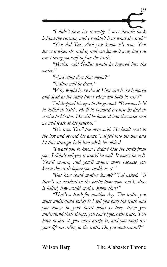

*"I didn't hear her correctly. I was shrunk back behind the curtain, and I couldn't hear what she said."*

*"You did Tal. And you know it's true. You knew it when she said it, and you know it now, but you can't bring yourself to face the truth."*

*"Mother said Galius would be lowered into the water."*

*"And what does that mean?"*

*"Galius will be dead."*

*"Why would he be dead? How can he be honored and dead at the same time? How can both be true?"*

*Tal dropped his eyes to the ground. "It means he'll be killed in battle. He'll be honored because he died in service to Mestor. He will be lowered into the water and we will feast at his funeral."*

*"It's true, Tal," the man said. He knelt next to the boy and opened his arms. Tal fell into his hug and let this stranger hold him while he sobbed.* 

*"I want you to know I didn't hide the truth from*  you, I didn't tell you it would be well. It won't be well. *You'll mourn, and you'll mourn more because you knew the truth before you could see it."*

*"But how could mother know?" Tal asked. "If there's an accident in the battle tomorrow and Galius is killed, how would mother know that?"*

*"That's a truth for another day. The truths you must understand today is I tell you only the truth and you know in your heart what is true. Now you understand these things, you can't ignore the truth. You have to face it, you must accept it, and you must live your life according to the truth. Do you understand?"*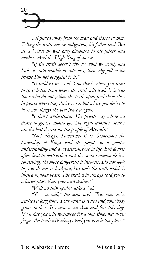*Tal pulled away from the man and stared at him. Telling the truth was an obligation, his father said. But as a Prince he was only obligated to his father and mother. And the High King of course.* 

*"If the truth doesn't give us what we want, and leads us into trouble or into loss, then why follow the truth? I'm not obligated to it."*

*"It saddens me, Tal. You think where you want to go is better than where the truth will lead. It is true those who do not follow the truth often find themselves in places where they desire to be, but where you desire to be is not always the best place for you."*

*"I don't understand. The priests say where we desire to go, we should go. The royal families' desires are the best desires for the people of Atlantis."*

*"Not always. Sometimes it is. Sometimes the leadership of Kings lead the people to a greater understanding and a greater purpose in life. But desires often lead to destruction and the more someone desires something, the more dangerous it becomes. Do not look to your desires to lead you, but seek the truth which is buried in your heart. The truth will always lead you to a better place than your own desires."*

*"Will we talk again? asked Tal.*

*"Yes, we will," the man said. "But now we've walked a long time. Your mind is rested and your body grows restless. It's time to awaken and face this day. It's a day you will remember for a long time, but never forget, the truth will always lead you to a better place."*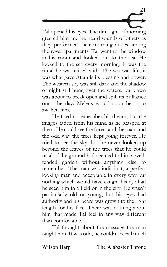Tal opened his eyes. The dim light of morning greeted him and he heard sounds of others as they performed their morning duties among the royal apartments. Tal went to the window in his room and looked out to the sea. He looked to the sea every morning. It was the ritual he was raised with. The sea was life, it was what gave Atlantis its blessing and power. The western sky was still dark and the shadow of night still hung over the waters, but dawn was about to break open and spill its brilliance onto the day. Meleus would soon be in to awaken him.

21

He tried to remember his dream, but the images faded from his mind as he grasped at them. He could see the forest and the man, and the odd way the trees kept going forever. He tried to see the sky, but he never looked up beyond the leaves of the trees that he could recall. The ground had seemed to him a welltended garden without anything else to remember. The man was indistinct, a perfect looking man and acceptable in every way but nothing which would have caught his eye had he seen him in a field or in the city. He wasn't particularly old or young, but his eyes had authority and his beard was grown to the right length for his face. There was nothing about him that made Tal feel in any way different than comfortable.

Tal thought about the message the man taught him. It was odd, he couldn't recall much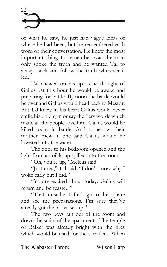

of what he saw, he just had vague ideas of where he had been, but he remembered each word of their conversation. He knew the most important thing to remember was the man only spoke the truth and he wanted Tal to always seek and follow the truth wherever it led.

Tal chewed on his lip as he thought of Galius. At this hour he would be awake and preparing for battle. By noon the battle would be over and Galius would head back to Mestor. But Tal knew in his heart Galius would never smile his bold grin or say the fiery words which made all the people love him. Galius would be killed today in battle. And somehow, their mother knew it. She said Galius would be lowered into the water.

The door to his bedroom opened and the light from an oil lamp spilled into the room.

"Oh, you're up," Meleus said.

"Just now," Tal said. "I don't know why I woke early but I did."

"You're excited about today. Galius will return and be feasted!"

"That must be it. Let's go to the square and see the preparations. I'm sure they've already got the tables set up."

The two boys ran out of the room and down the stairs of the apartments. The temple of Balket was already bright with the fires which would be used for the sacrifices. When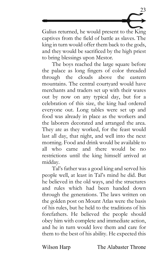

Galius returned, he would present to the King captives from the field of battle as slaves. The king in turn would offer them back to the gods, and they would be sacrificed by the high priest to bring blessings upon Mestor.

The boys reached the large square before the palace as long fingers of color threaded through the clouds above the eastern mountains. The central courtyard would have merchants and traders set up with their wares out by now on any typical day, but for a celebration of this size, the king had ordered everyone out. Long tables were set up and food was already in place as the workers and the laborers decorated and arranged the area. They ate as they worked, for the feast would last all day, that night, and well into the next morning. Food and drink would be available to all who came and there would be no restrictions until the king himself arrived at midday.

Tal's father was a good king and served his people well, at least in Tal's mind he did. But he believed in the old ways, and the structures and rules which had been handed down through the generations. The laws written on the golden post on Mount Atlas were the basis of his rules, but he held to the traditions of his forefathers. He believed the people should obey him with complete and immediate action, and he in turn would love them and care for them to the best of his ability. He expected this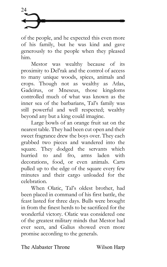of the people, and he expected this even more of his family, but he was kind and gave generously to the people when they pleased him.

Mestor was wealthy because of its proximity to Del'rak and the control of access to many unique woods, spices, animals and crops. Though not as wealthy as Atlas, Gadeirus, or Mneseus, those kingdoms controlled much of what was known as the inner sea of the barbarians, Tal's family was still powerful and well respected; wealthy beyond any but a king could imagine.

Large bowls of an orange fruit sat on the nearest table. They had been cut open and their sweet fragrance drew the boys over. They each grabbed two pieces and wandered into the square. They dodged the servants which<br>hurried to and fro. arms laden with and fro, arms laden with decorations, food, or even animals. Carts pulled up to the edge of the square every few minutes and their cargo unloaded for the celebration.

When Olatic, Tal's oldest brother, had been placed in command of his first battle, the feast lasted for three days. Bulls were brought in from the finest herds to be sacrificed for the wonderful victory. Olatic was considered one of the greatest military minds that Mestor had ever seen, and Galius showed even more promise according to the generals.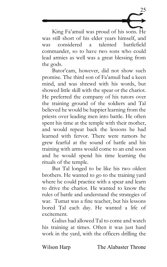

King Fa'amuil was proud of his sons. He was still short of his elder years himself, and was considered a talented battlefield commander, so to have two sons who could lead armies as well was a great blessing from the gods.

Bator'cam, however, did not show such promise. The third son of Fa'amuil had a keen mind, and was shrewd with his words, but showed little skill with the spear or the chariot. He preferred the company of his tutors over the training ground of the soldiers and Tal believed he would be happier learning from the priests over leading men into battle. He often spent his time at the temple with their mother, and would repeat back the lessons he had learned with fervor. There were rumors he grew fearful at the sound of battle and his training with arms would come to an end soon and he would spend his time learning the rituals of the temple.

But Tal longed to be like his two oldest brothers. He wanted to go to the training yard where he could practice with a spear and learn to drive the chariot. He wanted to know the rules of battle and understand the strategies of war. Tumat was a fine teacher, but his lessons bored Tal each day. He wanted a life of excitement.

Galius had allowed Tal to come and watch his training at times. Often it was just hard work in the yard, with the officers drilling the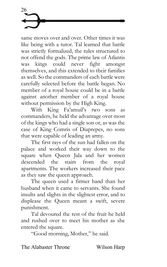same moves over and over. Other times it was like being with a tutor. Tal learned that battle was strictly formalized, the rules structured to not offend the gods. The prime law of Atlantis was kings could never fight amongst themselves, and this extended to their families as well. So the commanders of each battle were carefully selected before the battle began. No member of a royal house could be in a battle against another member of a royal house without permission by the High King.

With King Fa'amuil's two sons as commanders, he held the advantage over most of the kings who had a single son or, as was the case of King Comris of Diaprepes, no sons that were capable of leading an army.

The first rays of the sun had fallen on the palace and worked their way down to the square when Queen Jala and her women descended the stairs from the royal apartments. The workers increased their pace as they saw the queen approach.

The queen used a firmer hand than her husband when it came to servants. She found insults and slights in the slightest error, and to displease the Queen meant a swift, severe punishment.

Tal devoured the rest of the fruit he held and rushed over to meet his mother as she entered the square.

"Good morning, Mother," he said.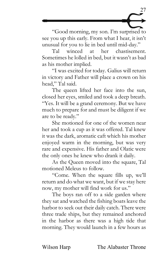

"Good morning, my son. I'm surprised to see you up this early. From what I hear, it isn't unusual for you to lie in bed until mid-day."

Tal winced at her chastisement. Sometimes he lolled in bed, but it wasn't as bad as his mother implied.

"I was excited for today. Galius will return in victory and Father will place a crown on his head," Tal said.

The queen lifted her face into the sun, closed her eyes, smiled and took a deep breath. "Yes. It will be a grand ceremony. But we have much to prepare for and must be diligent if we are to be ready."

She motioned for one of the women near her and took a cup as it was offered. Tal knew it was the dark, aromatic caft which his mother enjoyed warm in the morning, but was very rare and expensive. His father and Olatic were the only ones he knew who drank it daily.

As the Queen moved into the square, Tal motioned Meleus to follow.

"Come. When the square fills up, we'll return and do what we want, but if we stay here now, my mother will find work for us."

The boys ran off to a side garden where they sat and watched the fishing boats leave the harbor to seek out their daily catch. There were three trade ships, but they remained anchored in the harbor as there was a high tide that morning. They would launch in a few hours as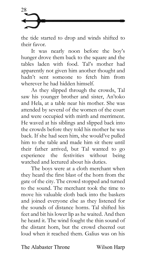

the tide started to drop and winds shifted to their favor.

It was nearly noon before the boy's hunger drove them back to the square and the tables laden with food. Tal's mother had apparently not given him another thought and hadn't sent someone to fetch him from wherever he had hidden himself.

As they slipped through the crowds, Tal saw his younger brother and sister, An'toko and Hela, at a table near his mother. She was attended by several of the women of the court and were occupied with mirth and merriment. He waved at his siblings and slipped back into the crowds before they told his mother he was back. If she had seen him, she would've pulled him to the table and made him sit there until their father arrived, but Tal wanted to go experience the festivities without being watched and lectured about his duties.

The boys were at a cloth merchant when they heard the first blast of the horn from the gate of the city. The crowd stopped and turned to the sound. The merchant took the time to move his valuable cloth back into the baskets and joined everyone else as they listened for the sounds of distance horns. Tal shifted his feet and bit his lower lip as he waited. And then he heard it. The wind fought the thin sound of the distant horn, but the crowd cheered out loud when it reached them. Galius was on his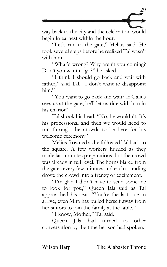

way back to the city and the celebration would begin in earnest within the hour.

"Let's run to the gate," Melius said. He took several steps before he realized Tal wasn't with him.

"What's wrong? Why aren't you coming? Don't you want to go?" he asked

"I think I should go back and wait with father," said Tal. "I don't want to disappoint him."

"You want to go back and wait? If Galius sees us at the gate, he'll let us ride with him in his chariot!"

Tal shook his head. "No, he wouldn't. It's his processional and then we would need to run through the crowds to be here for his welcome ceremony."

Melius frowned as he followed Tal back to the square. A few workers hurried as they made last-minutes preparations, but the crowd was already in full revel. The horns blared from the gates every few minutes and each sounding drove the crowd into a frenzy of excitement.

"I'm glad I didn't have to send someone to look for you," Queen Jala said as Tal approached his seat. "You're the last one to arrive, even Mira has pulled herself away from her suitors to join the family at the table."

"I know, Mother," Tal said.

Queen Jala had turned to other conversation by the time her son had spoken.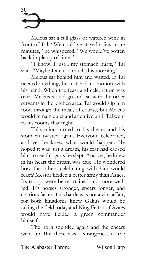

Meleus sat a full glass of watered wine in front of Tal. "We could've stayed a few more minutes," he whispered. "We would've gotten back in plenty of time."

"I know. I just... my stomach hurts," Tal said. "Maybe I ate too much this morning."

Meleus sat behind him and waited. If Tal needed anything, he just had to motion with his hand. When the feast and celebration was over, Meleus would go and eat with the other servants in the kitchen area. Tal would slip him food through the meal, of course, but Meleus would remain quiet and attentive until Tal went to his rooms that night.

Tal's mind turned to his dream and his stomach twisted again. Everyone celebrated, and yet he knew what would happen. He hoped it was just a dream, his fear had caused him to see things as he slept. And yet, he knew in his heart the dream was true. He wondered how the others celebrating with him would react? Mestor fielded a better army than Azaes. Its troops were better trained and more wellfed. It's horses stronger, spears longer, and chariots faster. This battle was not a vital affair, for both kingdoms knew Galius would be taking the field today and King Feltro of Azaes would have fielded a green commander himself.

The horn sounded again and the cheers went up. But there was a strangeness to the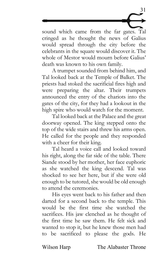

sound which came from the far gates. Tal cringed as he thought the news of Galius would spread through the city before the celebrants in the square would discover it. The whole of Mestor would mourn before Galius' death was known to his own family.

A trumpet sounded from behind him, and Tal looked back at the Temple of Balket. The priests had stoked the sacrificial fires high and were preparing the altar. Their trumpets announced the entry of the chariots into the gates of the city, for they had a lookout in the high spire who would watch for the moment.

Tal looked back at the Palace and the great doorway opened. The king stepped onto the top of the wide stairs and threw his arms open. He called for the people and they responded with a cheer for their king.

Tal heard a voice call and looked toward his right, along the far side of the table. There Siande stood by her mother, her face euphoric as she watched the king descend. Tal was shocked to see her here, but if she were old enough to be tutored, she would be old enough to attend the ceremonies.

His eyes went back to his father and then darted for a second back to the temple. This would be the first time she watched the sacrifices. His jaw clenched as he thought of the first time he saw them. He felt sick and wanted to stop it, but he knew those men had to be sacrificed to please the gods. He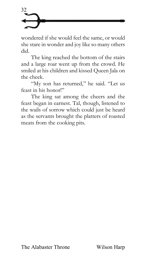

wondered if she would feel the same, or would she stare in wonder and joy like so many others did.

The king reached the bottom of the stairs and a large roar went up from the crowd. He smiled at his children and kissed Queen Jala on the cheek.

"My son has returned," he said. "Let us feast in his honor!"

The king sat among the cheers and the feast began in earnest. Tal, though, listened to the wails of sorrow which could just be heard as the servants brought the platters of roasted meats from the cooking pits.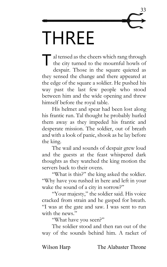

al tensed as the cheers which rang through the city turned to the mournful howls of despair. Those in the square quieted as they sensed the change and there appeared at the edge of the square a soldier. He pushed his way past the last few people who stood between him and the wide opening and threw himself before the royal table.  $\overline{\mathsf{T}}_{\text{d}}^{a}$ 

His helmet and spear had been lost along his frantic run. Tal thought he probably hurled them away as they impeded his frantic and desperate mission. The soldier, out of breath and with a look of panic, shook as he lay before the king.

The wail and sounds of despair grew loud and the guests at the feast whispered dark thoughts as they watched the king motion the servers back to their ovens.

"What is this?" the king asked the soldier. "Why have you rushed in here and left in your wake the sound of a city in sorrow?"

"Your majesty," the soldier said. His voice cracked from strain and he gasped for breath. "I was at the gate and saw. I was sent to run with the news."

"What have you seen?"

The soldier stood and then ran out of the way of the sounds behind him. A racket of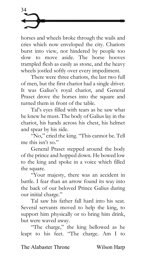horses and wheels broke through the wails and cries which now enveloped the city. Chariots burst into view, not hindered by people too slow to move aside. The horse hooves trampled flesh as easily as stone, and the heavy wheels jostled softly over every impediment.

There were three chariots, the last two full of men, but the first chariot had a single driver. It was Galius's royal chariot, and General Praset drove the horses into the square and turned them in front of the table.

Tal's eyes filled with tears as he saw what he knew he must. The body of Galius lay in the chariot, his hands across his chest, his helmet and spear by his side.

"No," cried the king. "This cannot be. Tell me this isn't so."

General Praset stepped around the body of the prince and hopped down. He bowed low to the king and spoke in a voice which filled the square.

"Your majesty, there was an accident in battle. I fear than an arrow found its way into the back of our beloved Prince Galius during our initial charge."

Tal saw his father fall hard into his seat. Several servants moved to help the king, to support him physically or to bring him drink, but were waved away.

"The charge," the king bellowed as he leapt to his feet. "The charge. Am I to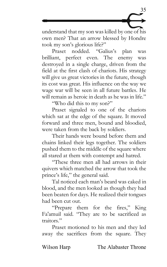

understand that my son was killed by one of his own men? That an arrow blessed by Hondre took my son's glorious life?"

Praset nodded. "Galius's plan was brilliant, perfect even. The enemy was destroyed in a single charge, driven from the field at the first clash of chariots. His strategy will give us great victories in the future, though its cost was great. His influence on the way we wage war will be seen in all future battles. He will remain as heroic in death as he was in life."

"Who did this to my son?"

Praset signaled to one of the chariots which sat at the edge of the square. It moved forward and three men, bound and bloodied, were taken from the back by soldiers.

Their hands were bound before them and chains linked their legs together. The soldiers pushed them to the middle of the square where all stared at them with contempt and hatred.

"These three men all had arrows in their quivers which matched the arrow that took the prince's life," the general said.

Tal noticed each man's beard was caked in blood, and the men looked as though they had been beaten for days. He realized their tongues had been cut out.

"Prepare them for the fires," King Fa'amuil said. "They are to be sacrificed as traitors."

Praset motioned to his men and they led away the sacrifices from the square. They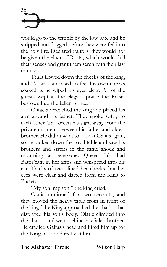would go to the temple by the low gate and be stripped and flogged before they were fed into the holy fire. Declared traitors, they would not be given the elixir of Rosta, which would dull their senses and grant them serenity in their last minutes.

Tears flowed down the cheeks of the king, and Tal was surprised to feel his own cheeks soaked as he wiped his eyes clear. All of the guests wept at the elegant praise the Praset bestowed up the fallen prince.

Olitac approached the king and placed his arm around his father. They spoke softly to each other. Tal forced his sight away from the private moment between his father and oldest brother. He didn't want to look at Galius again, so he looked down the royal table and saw his brothers and sisters in the same shock and mourning as everyone. Queen Jala had Bator'cam in her arms and whispered into his ear. Tracks of tears lined her cheeks, but her eyes were clear and darted from the King to Praset.

"My son, my son," the king cried.

Olatic motioned for two servants, and they moved the heavy table from in front of the king. The King approached the chariot that displayed his son's body. Olatic climbed into the chariot and went behind his fallen brother. He cradled Galius's head and lifted him up for the King to look directly at him.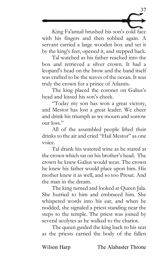

King Fa'amuil brushed his son's cold face with his fingers and then sobbed again. A servant carried a large wooden box and set it by the king's feet, opened it, and stepped back.

Tal watched as his father reached into the box and retrieved a silver crown. It had a leopard's head on the brow and the band itself was crafted to be the waves of the ocean. It was truly the crown for a prince of Atlantis.

The king placed the coronet on Galius's head and kissed his son's cheek.

"Today my son has won a great victory, and Mestor has lost a great leader. We cheer and drink his triumph as we mourn and sorrow our loss."

All of the assembled people lifted their drinks to the air and cried "Hail Mestor" as one voice.

Tal drank his watered wine as he stared at the crown which sat on his brother's head. The crown he knew Galius would wear. The crown he knew his father would place upon him. His mother knew it as well, and so too Presat. And the man in the dream.

The king turned and looked at Queen Jala. She hurried to him and embraced him. She whispered words into his ear, and when he nodded, she signaled a priest standing near the steps to the temple. The priest was joined by several acolytes as he walked to the chariot.

The queen guided the king back to his seat as the priests carried the body of the fallen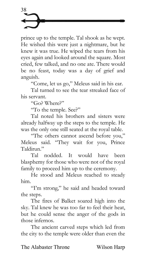prince up to the temple. Tal shook as he wept. He wished this were just a nightmare, but he knew it was true. He wiped the tears from his eyes again and looked around the square. Most cried, few talked, and no one ate. There would be no feast, today was a day of grief and anguish.

"Come, let us go," Meleus said in his ear.

Tal turned to see the tear streaked face of his servant.

"Go? Where?"

"To the temple. See?"

Tal noted his brothers and sisters were already halfway up the steps to the temple. He was the only one still seated at the royal table.

"The others cannot ascend before you," Meleus said. "They wait for you, Prince Taldirun."

Tal nodded. It would have been blasphemy for those who were not of the royal family to proceed him up to the ceremony.

He stood and Meleus reached to steady him.

"I'm strong," he said and headed toward the steps.

The fires of Balket soared high into the sky. Tal knew he was too far to feel their heat, but he could sense the anger of the gods in those infernos.

The ancient carved steps which led from the city to the temple were older than even the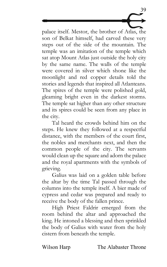palace itself. Mestor, the brother of Atlas, the son of Belkat himself, had carved these very steps out of the side of the mountain. The temple was an imitation of the temple which sat atop Mount Atlas just outside the holy city by the same name. The walls of the temple were covered in silver which shone like the moonlight and red copper details told the stories and legends that inspired all Atlanteans. The spires of the temple were polished gold, gleaming bright even in the darkest storms. The temple sat higher than any other structure and its spires could be seen from any place in the city.

39

Tal heard the crowds behind him on the steps. He knew they followed at a respectful distance, with the members of the court first, the nobles and merchants next, and then the common people of the city. The servants would clean up the square and adorn the palace and the royal apartments with the symbols of grieving.

Galius was laid on a golden table before the altar by the time Tal passed through the columns into the temple itself. A bier made of cypress and cedar was prepared and ready to receive the body of the fallen prince.

High Priest Faldrir emerged from the room behind the altar and approached the king. He intoned a blessing and then sprinkled the body of Galius with water from the holy cistern from beneath the temple.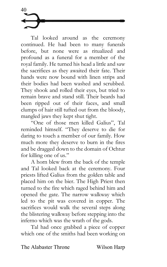Tal looked around as the ceremony continued. He had been to many funerals before, but none were as ritualized and profound as a funeral for a member of the royal family. He turned his head a little and saw the sacrifices as they awaited their fate. Their hands were now bound with linen strips and their bodies had been washed and scrubbed. They shook and rolled their eyes, but tried to remain brave and stand still. Their beards had been ripped out of their faces, and small clumps of hair still tufted out from the bloody, mangled jaws they kept shut tight.

"One of those men killed Galius", Tal reminded himself. "They deserve to die for daring to touch a member of our family. How much more they deserve to burn in the fires and be dragged down to the domain of Ochtur for killing one of us."

A horn blew from the back of the temple and Tal looked back at the ceremony. Four priests lifted Galius from the golden table and placed him on the bier. The High Priest then turned to the fire which raged behind him and opened the gate. The narrow walkway which led to the pit was covered in copper. The sacrifices would walk the several steps along the blistering walkway before stepping into the inferno which was the wrath of the gods.

Tal had once grabbed a piece of copper which one of the smiths had been working on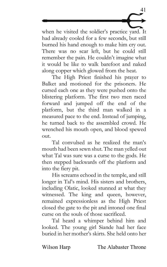when he visited the soldier's practice yard. It had already cooled for a few seconds, but still burned his hand enough to make him cry out. There was no scar left, but he could still remember the pain. He couldn't imagine what it would be like to walk barefoot and naked along copper which glowed from the heat.

41

The High Priest finished his prayer to Balket and motioned for the prisoners. He cursed each one as they were pushed onto the blistering platform. The first two men raced forward and jumped off the end of the platform, but the third man walked in a measured pace to the end. Instead of jumping, he turned back to the assembled crowd. He wrenched his mouth open, and blood spewed out.

Tal convulsed as he realized the man's mouth had been sewn shut. The man yelled out what Tal was sure was a curse to the gods. He then stepped backwards off the platform and into the fiery pit.

His screams echoed in the temple, and still longer in Tal's mind. His sisters and brothers, including Olatic, looked stunned at what they witnessed. The king and queen, however, remained expressionless as the High Priest closed the gate to the pit and intoned one final curse on the souls of those sacrificed.

Tal heard a whimper behind him and looked. The young girl Siande had her face buried in her mother's skirts. She held onto her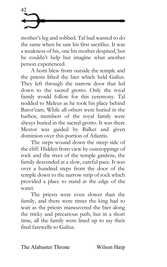mother's leg and sobbed. Tal had wanted to do the same when he saw his first sacrifice. It was a weakness of his, one his mother despised, but he couldn't help but imagine what another person experienced.

A horn blew from outside the temple and the priests lifted the bier which held Galius. They left through the narrow door that led down to the sacred grotto. Only the royal family would follow for this ceremony. Tal nodded to Meleus as he took his place behind Bator'cam. While all others were buried in the harbor, members of the royal family were always buried in the sacred grotto. It was there Mestor was guided by Balket and given dominion over this portion of Atlantis.

The steps wound down the steep side of the cliff. Hidden from view by outcroppings of rock and the trees of the temple gardens, the family descended at a slow, careful pace. It was over a hundred steps from the door of the temple down to the narrow strip of rock which provided a place to stand at the edge of the water.

The priests were even slower than the family, and there were times the king had to wait as the priests maneuvered the bier along the tricky and precarious path, but in a short time, all the family were lined up to say their final farewells to Galius.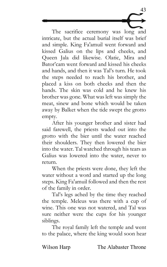The sacrifice ceremony was long and intricate, but the actual burial itself was brief and simple. King Fa'amuil went forward and kissed Galius on the lips and cheeks, and Queen Jala did likewise. Olatic, Mira and Bator'cam went forward and kissed his cheeks and hands, and then it was Tal's turn. He took the steps needed to reach his brother, and placed a kiss on both cheeks and then the hands. The skin was cold and he knew his brother was gone. What was left was simply the meat, sinew and bone which would be taken away by Balket when the tide swept the grotto empty.

43

After his younger brother and sister had said farewell, the priests waded out into the grotto with the bier until the water reached their shoulders. They then lowered the bier into the water. Tal watched through his tears as Galius was lowered into the water, never to return.

When the priests were done, they left the water without a word and started up the long steps. King Fa'amuil followed and then the rest of the family in order.

Tal's legs ached by the time they reached the temple. Meleus was there with a cup of wine. This one was not watered, and Tal was sure neither were the cups for his younger siblings.

The royal family left the temple and went to the palace, where the king would soon hear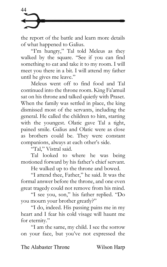the report of the battle and learn more details of what happened to Galius.

"I'm hungry," Tal told Meleus as they walked by the square. "See if you can find something to eat and take it to my room. I will meet you there in a bit. I will attend my father until he gives me leave."

Meleus went off to find food and Tal continued into the throne room. King Fa'amuil sat on his throne and talked quietly with Praset. When the family was settled in place, the king dismissed most of the servants, including the general. He called the children to him, starting with the youngest. Olatic gave Tal a tight, pained smile. Galius and Olatic were as close as brothers could be. They were constant companions, always at each other's side.

"Tal," Vistral said.

Tal looked to where he was being motioned forward by his father's chief servant.

He walked up to the throne and bowed.

"I attend thee, Father," he said. It was the formal answer before the throne, and one even great tragedy could not remove from his mind.

"I see you, son," his father replied. "Do you mourn your brother greatly?"

"I do, indeed. His passing pains me in my heart and I fear his cold visage will haunt me for eternity."

"I am the same, my child. I see the sorrow on your face, but you've not expressed the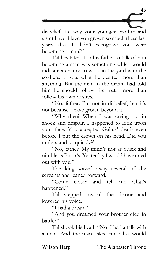

disbelief the way your younger brother and sister have. Have you grown so much these last years that I didn't recognize you were becoming a man?"

Tal hesitated. For his father to talk of him becoming a man was something which would indicate a chance to work in the yard with the soldiers. It was what he desired more than anything. But the man in the dream had told him he should follow the truth more than follow his own desires.

"No, father. I'm not in disbelief, but it's not because I have grown beyond it."

"Why then? When I was crying out in shock and despair, I happened to look upon your face. You accepted Galius' death even before I put the crown on his head. Did you understand so quickly?"

"No, father. My mind's not as quick and nimble as Bator's. Yesterday I would have cried out with you."

The king waved away several of the servants and leaned forward.

"Come closer and tell me what's happened."

Tal stepped toward the throne and lowered his voice.

"I had a dream."

"And you dreamed your brother died in battle?"

Tal shook his head. "No, I had a talk with a man. And the man asked me what would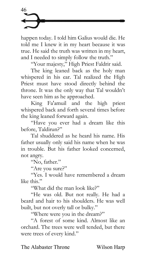happen today. I told him Galius would die. He told me I knew it in my heart because it was true. He said the truth was written in my heart, and I needed to simply follow the truth."

"Your majesty," High Priest Faldrir said.

The king leaned back as the holy man whispered in his ear. Tal realized the High Priest must have stood directly behind the throne. It was the only way that Tal wouldn't have seen him as he approached.

King Fa'amuil and the high priest whispered back and forth several times before the king leaned forward again.

"Have you ever had a dream like this before, Taldirun?"

Tal shuddered as he heard his name. His father usually only said his name when he was in trouble. But his father looked concerned, not angry.

"No, father."

"Are you sure?"

"Yes. I would have remembered a dream like this."

"What did the man look like?"

"He was old. But not really. He had a beard and hair to his shoulders. He was well built, but not overly tall or bulky."

"Where were you in the dream?"

"A forest of some kind. Almost like an orchard. The trees were well tended, but there were trees of every kind."